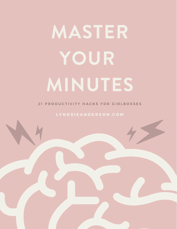# MASTER YOUR MINUTES

21 PRODUCTIVITY HACKS FOR GIRLBOSSES

L Y N D S IE A N D E R S O N . C O M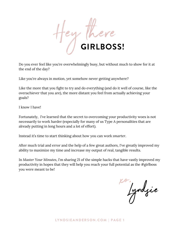

Do you ever feel like you're overwhelmingly busy, but without much to show for it at the end of the day?

Like you're always in motion, yet somehow never getting anywhere?

Like the more that you fight to try and do everything (and do it well of course, like the overachiever that you are), the more distant you feel from actually achieving your goals?

I know I have!

Fortunately, I've learned that the secret to overcoming your productivity woes is not necessarily to work harder (especially for many of us Type A personalities that are already putting in long hours and a lot of effort).

Instead it's time to start thinking about how you can work *smarter*.

After much trial and error and the help of a few great authors, I've greatly improved my ability to maximize my time and increase my output of real, tangible results.

In *Master Your Minutes*, I'm sharing 21 of the simple hacks that have vastly improved my productivity in hopes that they will help you reach your full potential as the #girlboss you were meant to be!

Igndyie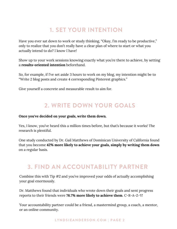## 1. SET YOUR INTENTION

Have you ever sat down to work or study thinking, "Okay, I'm ready to be productive," only to realize that you don't really have a clear plan of where to start or what you actually intend to do? I know I have!

Show up to your work sessions knowing exactly what you're there to achieve, by setting a **results-oriented intention** beforehand.

So, for example, if I've set aside 3 hours to work on my blog, my intention might be to "Write 2 blog posts and create 4 corresponding Pinterest graphics."

Give yourself a concrete and measurable result to aim for.

## 2. WRITE DOWN YOUR GOALS

#### **Once you've decided on your goals, write them down.**

Yes, I know, you've heard this a million times before, but that's because it works! The research is plentiful.

One study conducted by Dr. Gail Matthews of Dominican University of California found that you become **42% more likely to achieve your goals, simply by writing them down** on a regular basis.

### 3. FIND AN ACCOUNTABILITY PARTNER

Combine this with Tip #2 and you've improved your odds of actually accomplishing your goal enormously.

Dr. Matthews found that individuals who wrote down their goals and sent progress reports to their friends were **76.7% more likely to achieve them**. C-R-A-Z-Y!

Your accountability partner could be a friend, a mastermind group, a coach, a mentor, or an online community.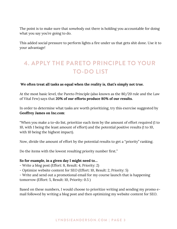The point is to make sure that *somebody* out there is holding you accountable for doing what you say you're going to do.

This added social pressure to perform lights a fire under us that gets shit done. Use it to your advantage!

# 4. APPLY THE PARETO PRINCIPLE TO YOUR TO-DO LIST

#### **We often treat all tasks as equal when the reality is, that's simply not true.**

At the most basic level, the Pareto Principle (also known as the 80/20 rule and the Law of Vital Few) says that **20% of our efforts produce 80% of our results.**

In order to determine what tasks are worth prioritizing, try this exercise suggested by **Geoffrey James on Inc.com**:

"When you make a to-do list, prioritize each item by the amount of effort required (1 to 10, with 1 being the least amount of effort) and the potential positive results (1 to 10, with 10 being the highest impact).

Now, divide the amount of effort by the potential results to get a "priority" ranking.

Do the items with the lowest resulting priority number first."

#### **So for example, in a given day I might need to…**

- Write a blog post (Effort: 8, Result: 4, Priority: 2)
- Optimize website content for SEO (Effort: 10, Result: 2, Priority: 5)
- Write and send out a [promotional](https://www.inc.com/geoffrey-james/surprising-secret-to-time-management.html) email for my course launch that is happening tomorrow (Effort: 5, Result: 10, Priority: 0.5 )

Based on these numbers, I would choose to prioritize writing and sending my promo email followed by writing a blog post and then optimizing my website content for SEO.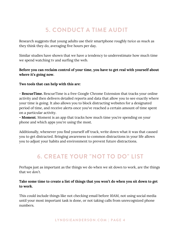## 5. CONDUCT A TIME AUDIT

Research suggests that young adults use their smartphone roughly *twice as much* as they think they do, averaging five hours per day.

Similar studies have shown that we have a tendency to underestimate how much time we spend watching tv and surfing the web.

#### **Before you can reclaim control of your time, you have to get real with yourself about where it's going now.**

#### **Two tools that can help with this are:**

- **RescueTime.** RescueTime is a free Google Chrome Extension that tracks your online activity and then delivers detailed reports and data that allow you to see exactly where your time is going. It also allows you to block distracting websites for a designated period of time, and receive alerts once you've reached a certain amount of time spent on a particular activity.

**- Moment**. Moment is an app that tracks how much time you're spending on your phone and which apps you're using the most.

Additionally, whenever you find yourself off track, write down what it was that caused you to get distracted. Bringing awareness to common distractions in your life allows you to adjust your habits and environment to prevent future distractions.

# 6. CREATE YOUR "NOT TO DO" LIST

Perhaps just as important as the things we do when we sit down to work, are the things that we *don't*.

#### **Take some time to create a list of things that you won't do when you sit down to get to work.**

This could include things like not checking email before 10AM, not using social media until your most important task is done, or not taking calls from unrecognized phone numbers.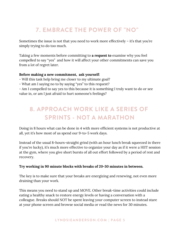## 7. EMBRACE THE POWER OF "NO"

Sometimes the issue is not that you need to work more effectively – it's that you're simply trying to do too much.

Taking a few moments before committing to **a request to** examine why you feel compelled to say "yes" and how it will affect your other commitments can save you from a *lot* of regret later.

#### **Before making a new commitment, ask yourself:**

- Will this task help bring me closer to my ultimate goal?
- What am I saying no to by saying "yes" to this request?

- Am I compelled to say yes to this because it is something I truly want to do or see value in, or am I just afraid to hurt someone's feelings?

# 8. APPROACH WORK LIKE A SERIES OF SPRINTS - NOT A MARATHON

Doing in 8 hours what can be done in 4 with more efficient systems is not productive at all, yet it's how most of us spend our 9-to-5 work days.

Instead of the usual 8-hours-straight grind (with an hour lunch break squeezed in there if you're lucky), it's much more effective to organize your day as if it were a HIIT session at the gym, where you give short bursts of all out effort followed by a period of rest and recovery.

#### **Try working in 90 minute blocks with breaks of 20-30 minutes in between.**

The key is to make sure that your breaks are energizing and renewing, not even more draining than your work.

This means you need to stand up and MOVE. Other break-time activities could include eating a healthy snack to restore energy levels or having a conversation with a colleague. Breaks should NOT be spent leaving your computer screen to instead stare at your phone screen and browse social media or read the news for 30 minutes.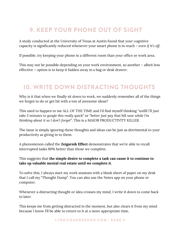## 9. KEEP YOUR PHONE OUT OF SIGHT

A study conducted at the University of Texas at Austin found that your cognitive capacity is significantly reduced whenever your smart phone is in reach – *even if it's off*.

If possible, try keeping your phone in a different room than your office or work area.

This may not be possible depending on your work environment, so another – albeit less effective – option is to keep it hidden away in a bag or desk drawer.

## 10. WRITE DOWN DISTRACTING THOUGHTS

Why is it that when we finally sit down to work, we suddenly remember all of the things we forgot to do or get hit with a ton of awesome ideas?

This used to happen to me ALL OF THE TIME and I'd find myself thinking "*wellll I'll just take 5 minutes to google this really quick*" or "*better just pay that bill now while I'm thinking about it so I don't forget*". This is a MAJOR PRODUCTIVITY KILLER.

The issue is simply ignoring these thoughts and ideas can be just as detrimental to your productivity as giving in to them.

A phenomenon called the **Zeigarnik Effect** demonstrates that we're able to recall interrupted tasks 90% better than those we complete.

This suggests that **the simple desire to complete a task can cause it to continue to take up valuable mental real estate until we complete it**.

To solve this, I always start my work sessions with a blank sheet of paper on my desk that I call my "Thought Dump". You can also use the Notes app on your phone or computer.

Whenever a distracting thought or idea crosses my mind, I write it down to come back to later.

This keeps me from getting distracted in the moment, but also clears it from my mind because I know I'll be able to return to it at a more appropriate time.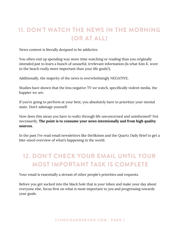# 11. DON'T WATCH THE NEWS IN THE MORNING (OR AT ALL)

News content is literally *designed* to be addictive.

You often end up spending way more time watching or reading than you originally intended just to learn a bunch of unuseful, irrelevant information (Is what Kim K. wore to the beach *really* more important than your life goals?).

Additionally, the majority of the news is overwhelmingly NEGATIVE.

Studies have shown that the less negative TV we watch, specifically violent media, the happier we are.

If you're going to perform at your best, you absolutely have to prioritize your mental state. Don't sabotage yourself.

Now does this mean you have to waltz through life unconcerned and uninformed? Not necessarily. **The point is to consume your news intentionally and from high quality sources.**

In the past I've read email newsletters like theSkimm and the Quartz Daily Brief to get a bite-sized overview of what's happening in the world.

# 12. DON'T CHECK YOUR EMAIL UNTIL YOUR MOST IMPORTANT TASK IS COMPLETE

Your email is essentially a stream of other people's priorities and requests.

Before you get sucked into the black hole that is your inbox and make your day about everyone else, focus first on what is most important to *you* and progressing towards your goals.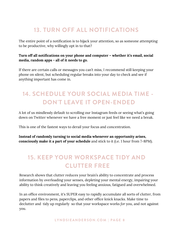## 13. TURN OFF ALL NOTIFICATIONS

The entire point of a notification is to hijack your attention, so as someone attempting to be productive, why willingly opt in to that?

#### **Turn off all notifications on your phone and computer – whether it's email, social media, random apps - all of it needs to go.**

If there are certain calls or messages you can't miss, I recommend still keeping your phone on silent, but scheduling regular breaks into your day to check and see if anything important has come in.

# 14. SCHEDULE YOUR SOCIAL MEDIA TIME - DON'T LEAVE IT OPEN-ENDED

A lot of us mindlessly default to scrolling our Instagram feeds or seeing what's going down on Twitter whenever we have a free moment or just feel like we need a break.

This is one of the fastest ways to derail your focus and concentration.

**Instead of randomly turning to social media whenever an opportunity arises, consciously make it a part of your schedule** and stick to it (i.e. 1 hour from 7-8PM).

# 15. KEEP YOUR WORKSPACE TIDY AND CLUTTER FREE

Research shows that clutter reduces your brain's ability to concentrate and process information by overloading your senses, depleting your mental energy, impairing your ability to think creatively and leaving you feeling anxious, fatigued and overwhelmed.

In an office environment, it's SUPER easy to rapidly accumulate all sorts of clutter, from papers and files to pens, paperclips, and other office knick knacks. Make time to declutter and tidy up regularly so that your workspace works *for* you, and not against you.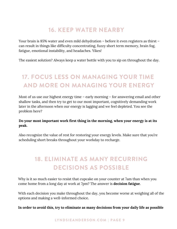## 16. KEEP WATER NEARBY

Your brain is 85% water and even mild dehydration – before it even registers as thirst – can result in things like difficulty concentrating, fuzzy short term memory, brain fog, fatigue, emotional instability, and headaches. Yikes!

The easiest solution? Always keep a water bottle with you to sip on throughout the day.

# 17. FOCUS LESS ON MANAGING YOUR TIME AND MORE ON MANAGING YOUR ENERGY

Most of us use our highest energy time – early morning – for answering email and other shallow tasks, and then try to get to our most important, cognitively demanding work later in the afternoon when our energy is lagging and we feel depleted. You see the problem here?

#### **Do your most important work first thing in the morning, when your energy is at its peak.**

Also recognize the value of rest for restoring your energy levels. Make sure that you're scheduling short breaks throughout your workday to recharge.

# 18. ELIMINATE AS MANY RECURRING DECISIONS AS POSSIBLE

Why is it so much easier to resist that cupcake on your counter at 7am than when you come home from a long day at work at 7pm? The answer is **decision fatigue**.

With each decision you make throughout the day, you become worse at weighing all of the options and making a well-informed choice.

**In order to avoid this, try to eliminate as many decisions from your daily life as possible**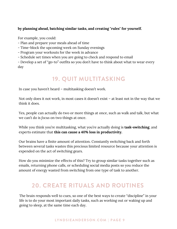#### **by planning ahead, batching similar tasks, and creating "rules" for yourself.**

For example, you could:

- Plan and prepare your meals ahead of time
- Time-block the upcoming week on Sunday evenings
- Program your workouts for the week in advance
- Schedule set times when you are going to check and respond to email

- Develop a set of "go-to" outfits so you don't have to think about what to wear every day

## 19. QUIT MULTITASKING

In case you haven't heard – multitasking doesn't work.

Not only does it not work, in most cases it doesn't exist – at least not in the way that we think it does.

Yes, people can actually do two or more things at once, such as walk and talk, but what we can't do is *focus* on two things at once.

While you think you're multitasking, what you're actually doing is **task-switching**, and experts estimate that **this can cause a 40% loss in productivity.**

Our brains have a finite amount of attention. Constantly switching back and forth between several tasks wastes this precious limited resource because your attention is expended on the act of switching gears.

How do you minimize the effects of this? Try to group similar tasks together such as emails, returning phone calls, or scheduling social media posts so you reduce the amount of energy wasted from switching from one type of task to another.

## 20. CREATE RITUALS AND ROUTINES

The brain responds well to cues, so one of the best ways to create "discipline" in your life is to do your most important daily tasks, such as working out or waking up and going to sleep, at the same time each day.